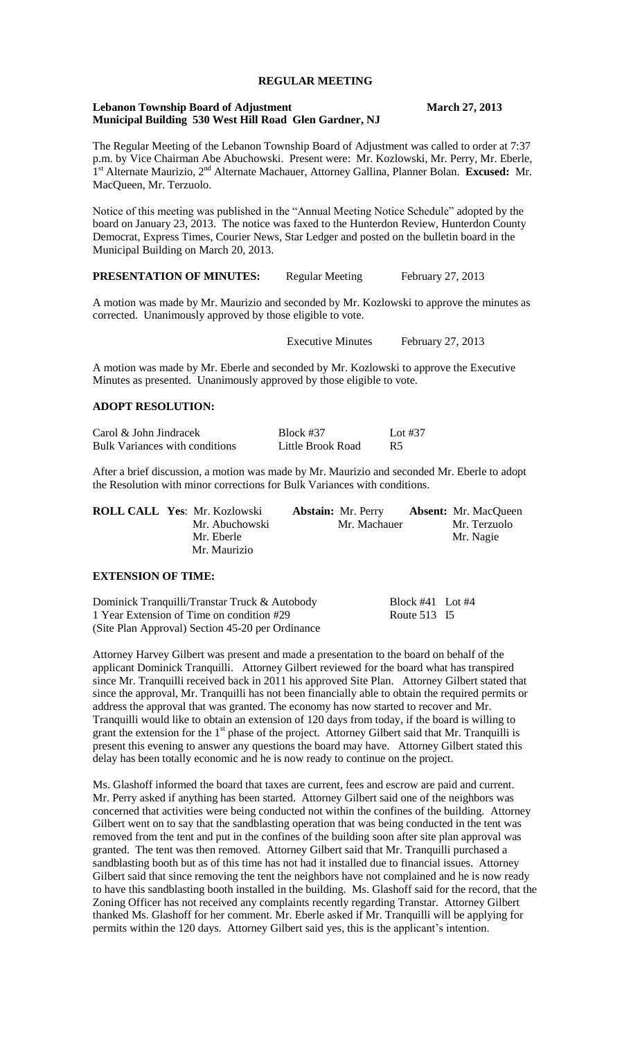# **REGULAR MEETING**

### **Lebanon Township Board of Adjustment March 27, 2013 Municipal Building 530 West Hill Road Glen Gardner, NJ**

The Regular Meeting of the Lebanon Township Board of Adjustment was called to order at 7:37 p.m. by Vice Chairman Abe Abuchowski. Present were: Mr. Kozlowski, Mr. Perry, Mr. Eberle, 1<sup>st</sup> Alternate Maurizio, 2<sup>nd</sup> Alternate Machauer, Attorney Gallina, Planner Bolan. **Excused:** Mr. MacQueen, Mr. Terzuolo.

Notice of this meeting was published in the "Annual Meeting Notice Schedule" adopted by the board on January 23, 2013. The notice was faxed to the Hunterdon Review, Hunterdon County Democrat, Express Times, Courier News, Star Ledger and posted on the bulletin board in the Municipal Building on March 20, 2013.

# **PRESENTATION OF MINUTES:** Regular Meeting February 27, 2013

A motion was made by Mr. Maurizio and seconded by Mr. Kozlowski to approve the minutes as corrected. Unanimously approved by those eligible to vote.

Executive Minutes February 27, 2013

A motion was made by Mr. Eberle and seconded by Mr. Kozlowski to approve the Executive Minutes as presented. Unanimously approved by those eligible to vote.

# **ADOPT RESOLUTION:**

| Carol & John Jindracek         | Block #37         | Lot #37        |
|--------------------------------|-------------------|----------------|
| Bulk Variances with conditions | Little Brook Road | R <sub>5</sub> |

After a brief discussion, a motion was made by Mr. Maurizio and seconded Mr. Eberle to adopt the Resolution with minor corrections for Bulk Variances with conditions.

| <b>ROLL CALL Yes: Mr. Kozlowski</b> | <b>Abstain:</b> Mr. Perry | <b>Absent:</b> Mr. MacQueen |
|-------------------------------------|---------------------------|-----------------------------|
| Mr. Abuchowski                      | Mr. Machauer              | Mr. Terzuolo                |
| Mr. Eberle                          |                           | Mr. Nagie                   |
| Mr. Maurizio                        |                           |                             |
|                                     |                           |                             |

## **EXTENSION OF TIME:**

Dominick Tranquilli/Transtar Truck & Autobody<br>
1 Year Extension of Time on condition #29 Route 513 I5 1 Year Extension of Time on condition #29 (Site Plan Approval) Section 45-20 per Ordinance

Attorney Harvey Gilbert was present and made a presentation to the board on behalf of the applicant Dominick Tranquilli. Attorney Gilbert reviewed for the board what has transpired since Mr. Tranquilli received back in 2011 his approved Site Plan. Attorney Gilbert stated that since the approval, Mr. Tranquilli has not been financially able to obtain the required permits or address the approval that was granted. The economy has now started to recover and Mr. Tranquilli would like to obtain an extension of 120 days from today, if the board is willing to grant the extension for the 1<sup>st</sup> phase of the project. Attorney Gilbert said that Mr. Tranquilli is present this evening to answer any questions the board may have. Attorney Gilbert stated this delay has been totally economic and he is now ready to continue on the project.

Ms. Glashoff informed the board that taxes are current, fees and escrow are paid and current. Mr. Perry asked if anything has been started. Attorney Gilbert said one of the neighbors was concerned that activities were being conducted not within the confines of the building. Attorney Gilbert went on to say that the sandblasting operation that was being conducted in the tent was removed from the tent and put in the confines of the building soon after site plan approval was granted. The tent was then removed. Attorney Gilbert said that Mr. Tranquilli purchased a sandblasting booth but as of this time has not had it installed due to financial issues. Attorney Gilbert said that since removing the tent the neighbors have not complained and he is now ready to have this sandblasting booth installed in the building. Ms. Glashoff said for the record, that the Zoning Officer has not received any complaints recently regarding Transtar. Attorney Gilbert thanked Ms. Glashoff for her comment. Mr. Eberle asked if Mr. Tranquilli will be applying for permits within the 120 days. Attorney Gilbert said yes, this is the applicant's intention.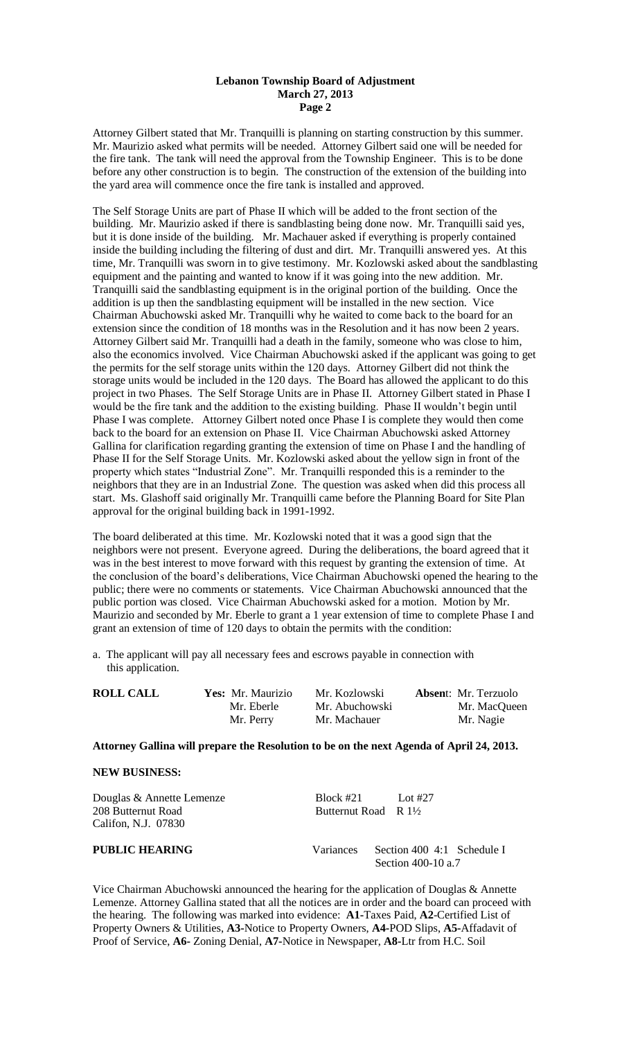Attorney Gilbert stated that Mr. Tranquilli is planning on starting construction by this summer. Mr. Maurizio asked what permits will be needed. Attorney Gilbert said one will be needed for the fire tank. The tank will need the approval from the Township Engineer. This is to be done before any other construction is to begin. The construction of the extension of the building into the yard area will commence once the fire tank is installed and approved.

The Self Storage Units are part of Phase II which will be added to the front section of the building. Mr. Maurizio asked if there is sandblasting being done now. Mr. Tranquilli said yes, but it is done inside of the building. Mr. Machauer asked if everything is properly contained inside the building including the filtering of dust and dirt. Mr. Tranquilli answered yes. At this time, Mr. Tranquilli was sworn in to give testimony. Mr. Kozlowski asked about the sandblasting equipment and the painting and wanted to know if it was going into the new addition. Mr. Tranquilli said the sandblasting equipment is in the original portion of the building. Once the addition is up then the sandblasting equipment will be installed in the new section. Vice Chairman Abuchowski asked Mr. Tranquilli why he waited to come back to the board for an extension since the condition of 18 months was in the Resolution and it has now been 2 years. Attorney Gilbert said Mr. Tranquilli had a death in the family, someone who was close to him, also the economics involved. Vice Chairman Abuchowski asked if the applicant was going to get the permits for the self storage units within the 120 days. Attorney Gilbert did not think the storage units would be included in the 120 days. The Board has allowed the applicant to do this project in two Phases. The Self Storage Units are in Phase II. Attorney Gilbert stated in Phase I would be the fire tank and the addition to the existing building. Phase II wouldn't begin until Phase I was complete. Attorney Gilbert noted once Phase I is complete they would then come back to the board for an extension on Phase II. Vice Chairman Abuchowski asked Attorney Gallina for clarification regarding granting the extension of time on Phase I and the handling of Phase II for the Self Storage Units. Mr. Kozlowski asked about the yellow sign in front of the property which states "Industrial Zone". Mr. Tranquilli responded this is a reminder to the neighbors that they are in an Industrial Zone. The question was asked when did this process all start. Ms. Glashoff said originally Mr. Tranquilli came before the Planning Board for Site Plan approval for the original building back in 1991-1992.

The board deliberated at this time. Mr. Kozlowski noted that it was a good sign that the neighbors were not present. Everyone agreed. During the deliberations, the board agreed that it was in the best interest to move forward with this request by granting the extension of time. At the conclusion of the board's deliberations, Vice Chairman Abuchowski opened the hearing to the public; there were no comments or statements. Vice Chairman Abuchowski announced that the public portion was closed. Vice Chairman Abuchowski asked for a motion. Motion by Mr. Maurizio and seconded by Mr. Eberle to grant a 1 year extension of time to complete Phase I and grant an extension of time of 120 days to obtain the permits with the condition:

a. The applicant will pay all necessary fees and escrows payable in connection with this application.

| <b>ROLL CALL</b> | Yes: Mr. Maurizio | Mr. Kozlowski  | <b>Absent:</b> Mr. Terzuolo |
|------------------|-------------------|----------------|-----------------------------|
|                  | Mr. Eberle        | Mr. Abuchowski | Mr. MacQueen                |
|                  | Mr. Perry         | Mr. Machauer   | Mr. Nagie                   |

**Attorney Gallina will prepare the Resolution to be on the next Agenda of April 24, 2013.**

## **NEW BUSINESS:**

| Douglas & Annette Lemenze<br>208 Butternut Road<br>Califon, N.J. 07830 | Block #21<br>Butternut Road R 1 <sup>1</sup> / <sub>2</sub> | Lot #27                                          |
|------------------------------------------------------------------------|-------------------------------------------------------------|--------------------------------------------------|
| PUBLIC HEARING                                                         | Variances                                                   | Section 400 4:1 Schedule I<br>Section 400-10 a.7 |

Vice Chairman Abuchowski announced the hearing for the application of Douglas & Annette Lemenze. Attorney Gallina stated that all the notices are in order and the board can proceed with the hearing. The following was marked into evidence: **A1-**Taxes Paid, **A2**-Certified List of Property Owners & Utilities, **A3-**Notice to Property Owners, **A4-**POD Slips, **A5-**Affadavit of Proof of Service, **A6-** Zoning Denial, **A7-**Notice in Newspaper, **A8-**Ltr from H.C. Soil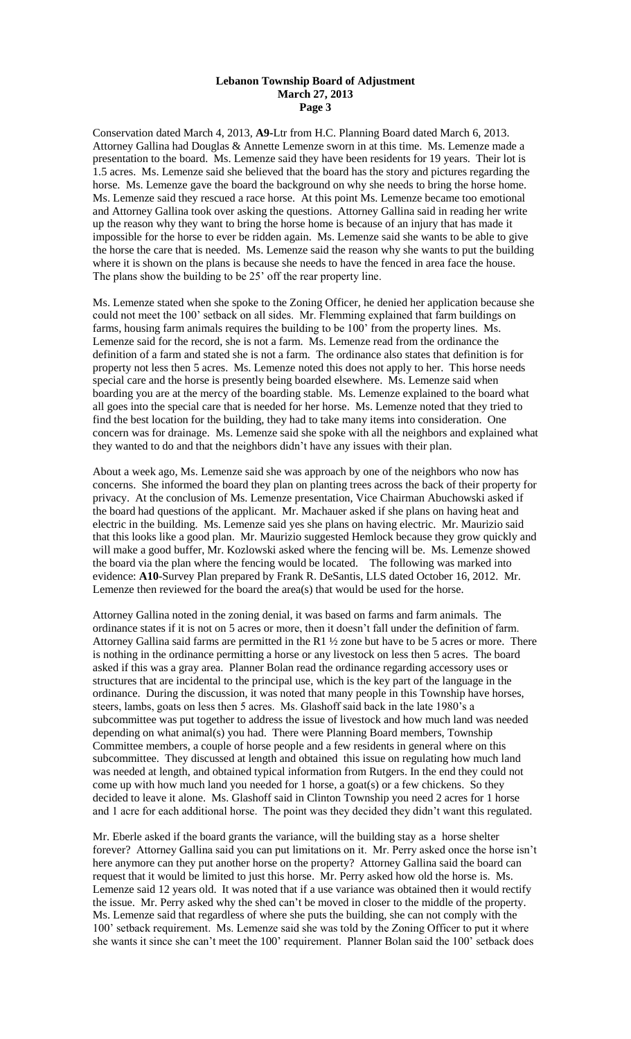Conservation dated March 4, 2013, **A9-**Ltr from H.C. Planning Board dated March 6, 2013. Attorney Gallina had Douglas & Annette Lemenze sworn in at this time. Ms. Lemenze made a presentation to the board. Ms. Lemenze said they have been residents for 19 years. Their lot is 1.5 acres. Ms. Lemenze said she believed that the board has the story and pictures regarding the horse. Ms. Lemenze gave the board the background on why she needs to bring the horse home. Ms. Lemenze said they rescued a race horse. At this point Ms. Lemenze became too emotional and Attorney Gallina took over asking the questions. Attorney Gallina said in reading her write up the reason why they want to bring the horse home is because of an injury that has made it impossible for the horse to ever be ridden again. Ms. Lemenze said she wants to be able to give the horse the care that is needed. Ms. Lemenze said the reason why she wants to put the building where it is shown on the plans is because she needs to have the fenced in area face the house. The plans show the building to be 25' off the rear property line.

Ms. Lemenze stated when she spoke to the Zoning Officer, he denied her application because she could not meet the 100' setback on all sides. Mr. Flemming explained that farm buildings on farms, housing farm animals requires the building to be 100' from the property lines. Ms. Lemenze said for the record, she is not a farm. Ms. Lemenze read from the ordinance the definition of a farm and stated she is not a farm. The ordinance also states that definition is for property not less then 5 acres. Ms. Lemenze noted this does not apply to her. This horse needs special care and the horse is presently being boarded elsewhere. Ms. Lemenze said when boarding you are at the mercy of the boarding stable. Ms. Lemenze explained to the board what all goes into the special care that is needed for her horse. Ms. Lemenze noted that they tried to find the best location for the building, they had to take many items into consideration. One concern was for drainage. Ms. Lemenze said she spoke with all the neighbors and explained what they wanted to do and that the neighbors didn't have any issues with their plan.

About a week ago, Ms. Lemenze said she was approach by one of the neighbors who now has concerns. She informed the board they plan on planting trees across the back of their property for privacy. At the conclusion of Ms. Lemenze presentation, Vice Chairman Abuchowski asked if the board had questions of the applicant. Mr. Machauer asked if she plans on having heat and electric in the building. Ms. Lemenze said yes she plans on having electric. Mr. Maurizio said that this looks like a good plan. Mr. Maurizio suggested Hemlock because they grow quickly and will make a good buffer, Mr. Kozlowski asked where the fencing will be. Ms. Lemenze showed the board via the plan where the fencing would be located. The following was marked into evidence: **A10**-Survey Plan prepared by Frank R. DeSantis, LLS dated October 16, 2012. Mr. Lemenze then reviewed for the board the area(s) that would be used for the horse.

Attorney Gallina noted in the zoning denial, it was based on farms and farm animals. The ordinance states if it is not on 5 acres or more, then it doesn't fall under the definition of farm. Attorney Gallina said farms are permitted in the R1  $\frac{1}{2}$  zone but have to be 5 acres or more. There is nothing in the ordinance permitting a horse or any livestock on less then 5 acres. The board asked if this was a gray area. Planner Bolan read the ordinance regarding accessory uses or structures that are incidental to the principal use, which is the key part of the language in the ordinance. During the discussion, it was noted that many people in this Township have horses, steers, lambs, goats on less then 5 acres. Ms. Glashoff said back in the late 1980's a subcommittee was put together to address the issue of livestock and how much land was needed depending on what animal(s) you had. There were Planning Board members, Township Committee members, a couple of horse people and a few residents in general where on this subcommittee. They discussed at length and obtained this issue on regulating how much land was needed at length, and obtained typical information from Rutgers. In the end they could not come up with how much land you needed for 1 horse, a goat(s) or a few chickens. So they decided to leave it alone. Ms. Glashoff said in Clinton Township you need 2 acres for 1 horse and 1 acre for each additional horse. The point was they decided they didn't want this regulated.

Mr. Eberle asked if the board grants the variance, will the building stay as a horse shelter forever? Attorney Gallina said you can put limitations on it. Mr. Perry asked once the horse isn't here anymore can they put another horse on the property? Attorney Gallina said the board can request that it would be limited to just this horse. Mr. Perry asked how old the horse is. Ms. Lemenze said 12 years old. It was noted that if a use variance was obtained then it would rectify the issue. Mr. Perry asked why the shed can't be moved in closer to the middle of the property. Ms. Lemenze said that regardless of where she puts the building, she can not comply with the 100' setback requirement. Ms. Lemenze said she was told by the Zoning Officer to put it where she wants it since she can't meet the 100' requirement. Planner Bolan said the 100' setback does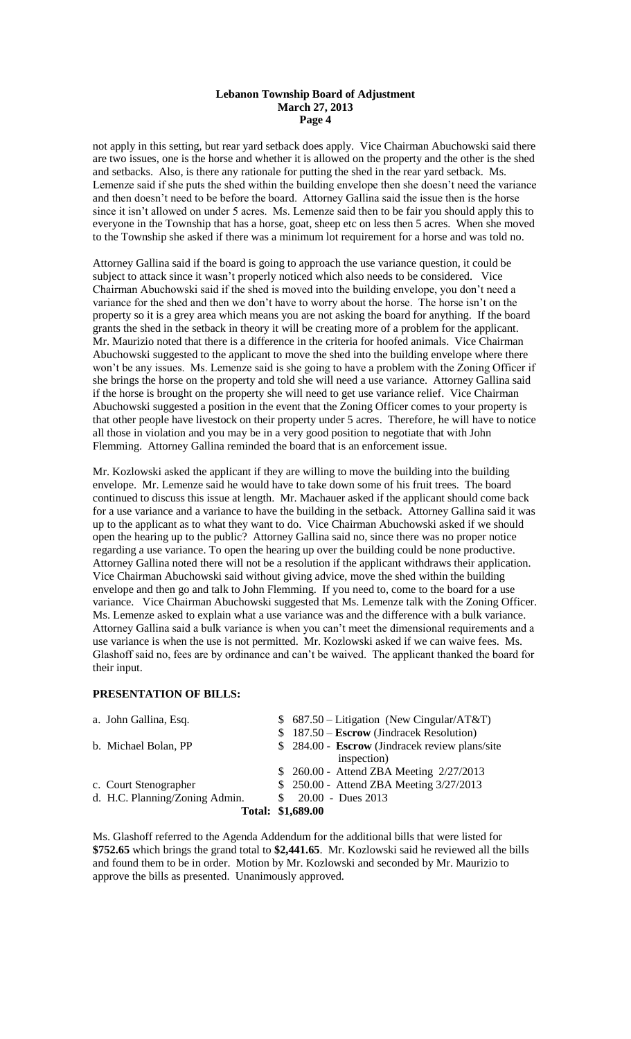not apply in this setting, but rear yard setback does apply. Vice Chairman Abuchowski said there are two issues, one is the horse and whether it is allowed on the property and the other is the shed and setbacks. Also, is there any rationale for putting the shed in the rear yard setback. Ms. Lemenze said if she puts the shed within the building envelope then she doesn't need the variance and then doesn't need to be before the board. Attorney Gallina said the issue then is the horse since it isn't allowed on under 5 acres. Ms. Lemenze said then to be fair you should apply this to everyone in the Township that has a horse, goat, sheep etc on less then 5 acres. When she moved to the Township she asked if there was a minimum lot requirement for a horse and was told no.

Attorney Gallina said if the board is going to approach the use variance question, it could be subject to attack since it wasn't properly noticed which also needs to be considered. Vice Chairman Abuchowski said if the shed is moved into the building envelope, you don't need a variance for the shed and then we don't have to worry about the horse. The horse isn't on the property so it is a grey area which means you are not asking the board for anything. If the board grants the shed in the setback in theory it will be creating more of a problem for the applicant. Mr. Maurizio noted that there is a difference in the criteria for hoofed animals. Vice Chairman Abuchowski suggested to the applicant to move the shed into the building envelope where there won't be any issues. Ms. Lemenze said is she going to have a problem with the Zoning Officer if she brings the horse on the property and told she will need a use variance. Attorney Gallina said if the horse is brought on the property she will need to get use variance relief. Vice Chairman Abuchowski suggested a position in the event that the Zoning Officer comes to your property is that other people have livestock on their property under 5 acres. Therefore, he will have to notice all those in violation and you may be in a very good position to negotiate that with John Flemming. Attorney Gallina reminded the board that is an enforcement issue.

Mr. Kozlowski asked the applicant if they are willing to move the building into the building envelope. Mr. Lemenze said he would have to take down some of his fruit trees. The board continued to discuss this issue at length. Mr. Machauer asked if the applicant should come back for a use variance and a variance to have the building in the setback. Attorney Gallina said it was up to the applicant as to what they want to do. Vice Chairman Abuchowski asked if we should open the hearing up to the public? Attorney Gallina said no, since there was no proper notice regarding a use variance. To open the hearing up over the building could be none productive. Attorney Gallina noted there will not be a resolution if the applicant withdraws their application. Vice Chairman Abuchowski said without giving advice, move the shed within the building envelope and then go and talk to John Flemming. If you need to, come to the board for a use variance. Vice Chairman Abuchowski suggested that Ms. Lemenze talk with the Zoning Officer. Ms. Lemenze asked to explain what a use variance was and the difference with a bulk variance. Attorney Gallina said a bulk variance is when you can't meet the dimensional requirements and a use variance is when the use is not permitted. Mr. Kozlowski asked if we can waive fees. Ms. Glashoff said no, fees are by ordinance and can't be waived. The applicant thanked the board for their input.

# **PRESENTATION OF BILLS:**

| a. John Gallina, Esq.          | $$687.50 - Litigation (New Cingular/AT&T)$      |
|--------------------------------|-------------------------------------------------|
|                                | $$187.50 - Escrow (Jindracek Resolution)$       |
| b. Michael Bolan, PP           | \$ 284.00 - Escrow (Jindracek review plans/site |
|                                | inspection)                                     |
|                                | \$ 260.00 - Attend ZBA Meeting 2/27/2013        |
| c. Court Stenographer          | \$ 250.00 - Attend ZBA Meeting 3/27/2013        |
| d. H.C. Planning/Zoning Admin. | $20.00 - Dues 2013$                             |
|                                | Total: \$1,689.00                               |

Ms. Glashoff referred to the Agenda Addendum for the additional bills that were listed for **\$752.65** which brings the grand total to **\$2,441.65**. Mr. Kozlowski said he reviewed all the bills and found them to be in order. Motion by Mr. Kozlowski and seconded by Mr. Maurizio to approve the bills as presented. Unanimously approved.